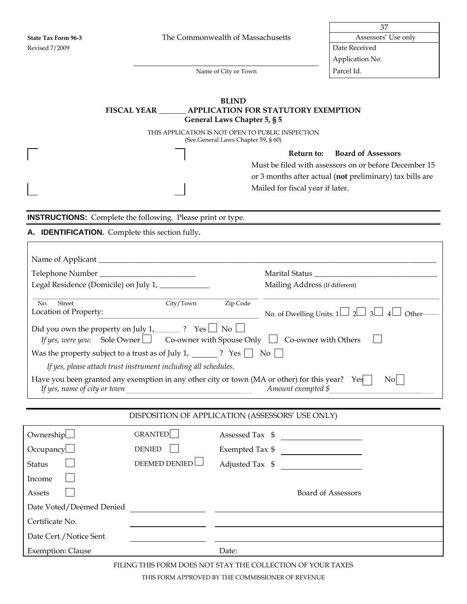Г

**State Tax Form 96-3** The Commonwealth of Massachusetts

| h of Massachusetts | Assessors' Use only |
|--------------------|---------------------|
|                    | Date Received       |
|                    | Application No.     |

Name of City or Town Parcel Id.

## **BLIND FISCAL YEAR \_\_\_\_\_\_\_ APPLICATION FOR STATUTORY EXEMPTION General Laws Chapter 5, § 5**

THIS APPLICATION IS NOT OPEN TO PUBLIC INSPECTION (See General Laws Chapter 59, § 60)

> **Return to: Board of Assessors** Must be filed with assessors on or before December 15 or 3 months after actual (**not** preliminary) tax bills are Mailed for fiscal year if later.

**INSTRUCTIONS:** Complete the following. Please print or type.

## **A. IDENTIFICATION.** Complete this section fully**.**

| Legal Residence (Domicile) on July 1, ____________                                                                                                                                                                                                                                                                                                                                                                                                                                                                                                                          |                      |       | Mailing Address (If different)                           |  |  |
|-----------------------------------------------------------------------------------------------------------------------------------------------------------------------------------------------------------------------------------------------------------------------------------------------------------------------------------------------------------------------------------------------------------------------------------------------------------------------------------------------------------------------------------------------------------------------------|----------------------|-------|----------------------------------------------------------|--|--|
| City/Town<br>Zip Code<br>Street<br>No.<br>Location of Property:<br>No. of Dwelling Units: $1 \Box 2 \Box 3 \Box 4$<br>Other-<br><u> 1980 - Johann Barbara, martxa eta politikar</u><br>Did you own the property on July 1, $\frac{1}{\sqrt{2}}$ ? Yes $\Box$ No $\Box$<br>If yes, were you: Sole Owner $\Box$ Co-owner with Spouse Only $\Box$ Co-owner with Others<br>If yes, please attach trust instrument including all schedules.<br>Have you been granted any exemption in any other city or town (MA or other) for this year? Yes<br>$\rm{No}$<br>Amount exempted \$ |                      |       |                                                          |  |  |
| DISPOSITION OF APPLICATION (ASSESSORS' USE ONLY)                                                                                                                                                                                                                                                                                                                                                                                                                                                                                                                            |                      |       |                                                          |  |  |
| Ownership                                                                                                                                                                                                                                                                                                                                                                                                                                                                                                                                                                   | GRANTED              |       | Assessed Tax \$                                          |  |  |
| Occupancy                                                                                                                                                                                                                                                                                                                                                                                                                                                                                                                                                                   | <b>DENIED</b>        |       | $\begin{tabular}{l} Exempted Tax $$\quad$ \end{tabular}$ |  |  |
| <b>Status</b>                                                                                                                                                                                                                                                                                                                                                                                                                                                                                                                                                               | <b>DEEMED DENIED</b> |       | Adjusted Tax \$                                          |  |  |
| Income                                                                                                                                                                                                                                                                                                                                                                                                                                                                                                                                                                      |                      |       |                                                          |  |  |
| Assets                                                                                                                                                                                                                                                                                                                                                                                                                                                                                                                                                                      |                      |       | <b>Board of Assessors</b>                                |  |  |
| Date Voted/Deemed Denied                                                                                                                                                                                                                                                                                                                                                                                                                                                                                                                                                    |                      |       |                                                          |  |  |
| Certificate No.                                                                                                                                                                                                                                                                                                                                                                                                                                                                                                                                                             |                      |       |                                                          |  |  |
| Date Cert./Notice Sent                                                                                                                                                                                                                                                                                                                                                                                                                                                                                                                                                      |                      |       |                                                          |  |  |
| <b>Exemption: Clause</b>                                                                                                                                                                                                                                                                                                                                                                                                                                                                                                                                                    |                      | Date: |                                                          |  |  |

FILING THIS FORM DOES NOT STAY THE COLLECTION OF YOUR TAXES

THIS FORM APPROVED BY THE COMMISSIONER OF REVENUE